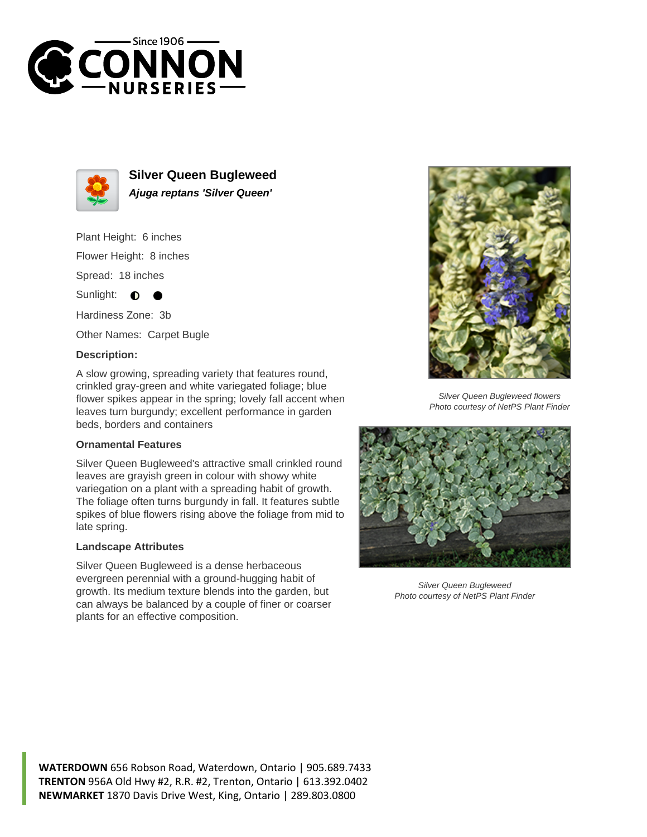



**Silver Queen Bugleweed Ajuga reptans 'Silver Queen'**

Plant Height: 6 inches Flower Height: 8 inches Spread: 18 inches

Sunlight:  $\bullet$ 

Hardiness Zone: 3b

Other Names: Carpet Bugle

## **Description:**

A slow growing, spreading variety that features round, crinkled gray-green and white variegated foliage; blue flower spikes appear in the spring; lovely fall accent when leaves turn burgundy; excellent performance in garden beds, borders and containers

## **Ornamental Features**

Silver Queen Bugleweed's attractive small crinkled round leaves are grayish green in colour with showy white variegation on a plant with a spreading habit of growth. The foliage often turns burgundy in fall. It features subtle spikes of blue flowers rising above the foliage from mid to late spring.

## **Landscape Attributes**

Silver Queen Bugleweed is a dense herbaceous evergreen perennial with a ground-hugging habit of growth. Its medium texture blends into the garden, but can always be balanced by a couple of finer or coarser plants for an effective composition.



Silver Queen Bugleweed flowers Photo courtesy of NetPS Plant Finder



Silver Queen Bugleweed Photo courtesy of NetPS Plant Finder

**WATERDOWN** 656 Robson Road, Waterdown, Ontario | 905.689.7433 **TRENTON** 956A Old Hwy #2, R.R. #2, Trenton, Ontario | 613.392.0402 **NEWMARKET** 1870 Davis Drive West, King, Ontario | 289.803.0800